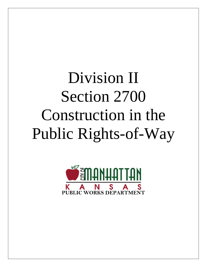# Division II Section 2700 Construction in the Public Rights-of-Way

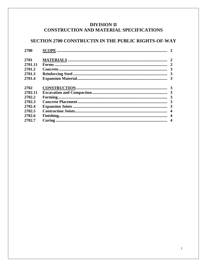## **DIVISION II CONSTRUCTION AND MATERIAL SPECIFICATIONS**

## SECTION 2700 CONSTRUCTIN IN THE PUBLIC RIGHTS-OF-WAY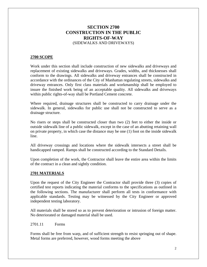### **SECTION 2700 CONSTRUCTION IN THE PUBLIC RIGHTS-OF-WAY** (SIDEWALKS AND DRIVEWAYS)

#### **2700 SCOPE**

Work under this section shall include construction of new sidewalks and driveways and replacement of existing sidewalks and driveways. Grades, widths, and thicknesses shall conform to the drawings. All sidewalks and driveway entrances shall be constructed in accordance with the ordinances of the City of Manhattan regulating streets, sidewalks and driveway entrances. Only first class materials and workmanship shall be employed to insure the finished work being of an acceptable quality. All sidewalks and driveways within public rights-of-way shall be Portland Cement concrete.

Where required, drainage structures shall be constructed to carry drainage under the sidewalk. In general, sidewalks for public use shall not be constructed to serve as a drainage structure.

No risers or steps shall be constructed closer than two (2) feet to either the inside or outside sidewalk line of a public sidewalk, except in the case of an abutting retaining wall on private property, in which case the distance may be one (1) foot on the inside sidewalk line.

All driveway crossings and locations where the sidewalk intersects a street shall be handicapped ramped. Ramps shall be constructed according to the Standard Details.

Upon completion of the work, the Contractor shall leave the entire area within the limits of the contract in a clean and sightly condition.

#### **2701 MATERIALS**

Upon the request of the City Engineer the Contractor shall provide three (3) copies of certified test reports indicating the material conforms to the specifications as outlined in the following sections. The manufacturer shall perform all tests in conformance with applicable standards. Testing may be witnessed by the City Engineer or approved independent testing laboratory.

All materials shall be stored so as to prevent deterioration or intrusion of foreign matter. No deteriorated or damaged material shall be used.

2701.11 Forms

Forms shall be free from warp, and of sufficient strength to resist springing out of shape. Metal forms are preferred, however, wood forms meeting the above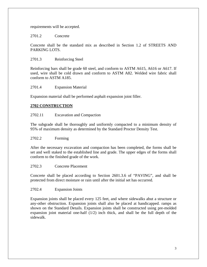requirements will be accepted.

2701.2 Concrete

Concrete shall be the standard mix as described in Section 1.2 of STREETS AND PARKING LOTS.

2701.3 Reinforcing Steel

Reinforcing bars shall be grade 60 steel, and conform to ASTM A615, A616 or A617. If used, wire shall be cold drawn and conform to ASTM A82. Welded wire fabric shall conform to ASTM A185.

2701.4 Expansion Material

Expansion material shall be performed asphalt expansion joint filler.

#### **2702 CONSTRUCTION**

#### 2702.11 Excavation and Compaction

The subgrade shall be thoroughly and uniformly compacted to a minimum density of 95% of maximum density as determined by the Standard Proctor Density Test.

#### 2702.2 Forming

After the necessary excavation and compaction has been completed, the forms shall be set and well staked to the established line and grade. The upper edges of the forms shall conform to the finished grade of the work.

#### 2702.3 Concrete Placement

Concrete shall be placed according to Section 2601.3.6 of "PAVING", and shall be protected from direct moisture or rain until after the initial set has occurred.

#### 2702.4 Expansion Joints

Expansion joints shall be placed every 125 feet, and where sidewalks abut a structure or any-other obstruction. Expansion joints shall also be placed at handicapped. ramps as shown on the Standard Details. Expansion joints shall be constructed using pre-molded expansion joint material one-half (1/2) inch thick, and shall be the full depth of the sidewalk.